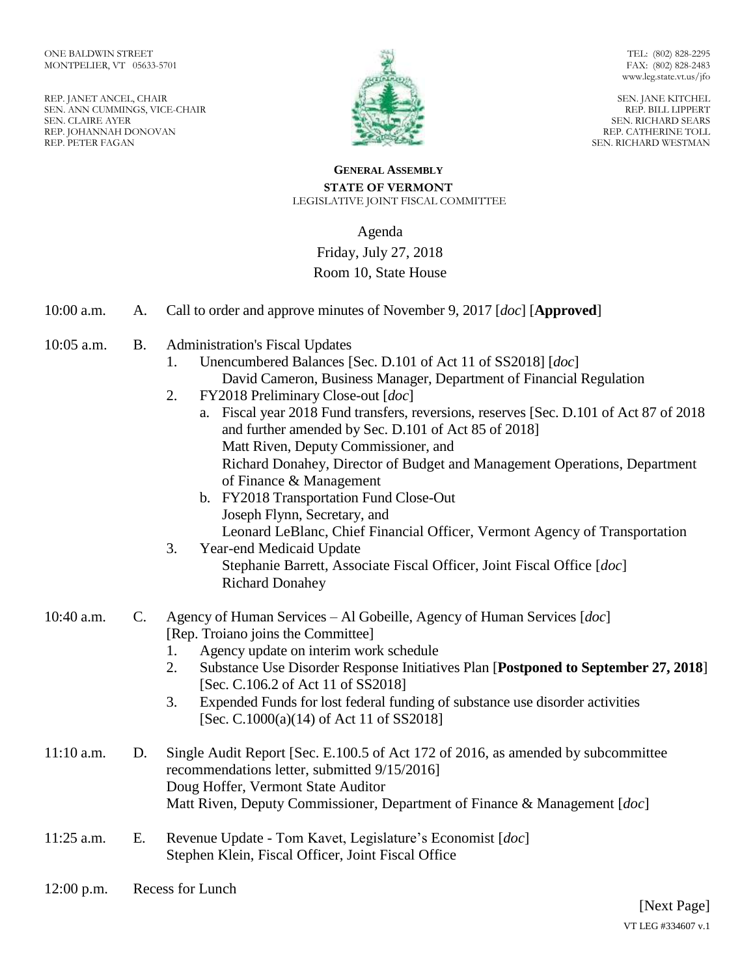REP. JANET ANCEL, CHAIR SEN. ANN CUMMINGS, VICE-CHAIR SEN. CLAIRE AYER REP. JOHANNAH DONOVAN REP. PETER FAGAN



TEL: (802) 828-2295 FAX: (802) 828-2483 www.leg.state.vt.us/jfo

SEN. JANE KITCHEL REP. BILL LIPPERT SEN. RICHARD SEARS REP. CATHERINE TOLL SEN. RICHARD WESTMAN

#### **GENERAL ASSEMBLY STATE OF VERMONT** LEGISLATIVE JOINT FISCAL COMMITTEE

# Agenda

## Friday, July 27, 2018

### Room 10, State House

| 10:00 a.m. | A. | Call to order and approve minutes of November 9, 2017 [ <i>doc</i> ] [ <b>Approved</b> ] |  |
|------------|----|------------------------------------------------------------------------------------------|--|
|------------|----|------------------------------------------------------------------------------------------|--|

- 10:05 a.m. B. Administration's Fiscal Updates
	- 1. Unencumbered Balances [Sec. D.101 of Act 11 of SS2018] [*doc*] David Cameron, Business Manager, Department of Financial Regulation
	- 2. FY2018 Preliminary Close-out [*doc*]
		- a. Fiscal year 2018 Fund transfers, reversions, reserves [Sec. D.101 of Act 87 of 2018 and further amended by Sec. D.101 of Act 85 of 2018] Matt Riven, Deputy Commissioner, and Richard Donahey, Director of Budget and Management Operations, Department of Finance & Management
		- b. FY2018 Transportation Fund Close-Out Joseph Flynn, Secretary, and Leonard LeBlanc, Chief Financial Officer, Vermont Agency of Transportation
	- 3. Year-end Medicaid Update Stephanie Barrett, Associate Fiscal Officer, Joint Fiscal Office [*doc*] Richard Donahey

### 10:40 a.m. C. Agency of Human Services – Al Gobeille, Agency of Human Services [*doc*] [Rep. Troiano joins the Committee]

- 1. Agency update on interim work schedule
- 2. Substance Use Disorder Response Initiatives Plan [**Postponed to September 27, 2018**] [Sec. C.106.2 of Act 11 of SS2018]
- 3. Expended Funds for lost federal funding of substance use disorder activities [Sec. C.1000(a)(14) of Act 11 of SS2018]
- 11:10 a.m. D. Single Audit Report [Sec. E.100.5 of Act 172 of 2016, as amended by subcommittee recommendations letter, submitted 9/15/2016] Doug Hoffer, Vermont State Auditor Matt Riven, Deputy Commissioner, Department of Finance & Management [*doc*]
- 11:25 a.m. E. Revenue Update Tom Kavet, Legislature's Economist [*doc*] Stephen Klein, Fiscal Officer, Joint Fiscal Office
- 12:00 p.m. Recess for Lunch